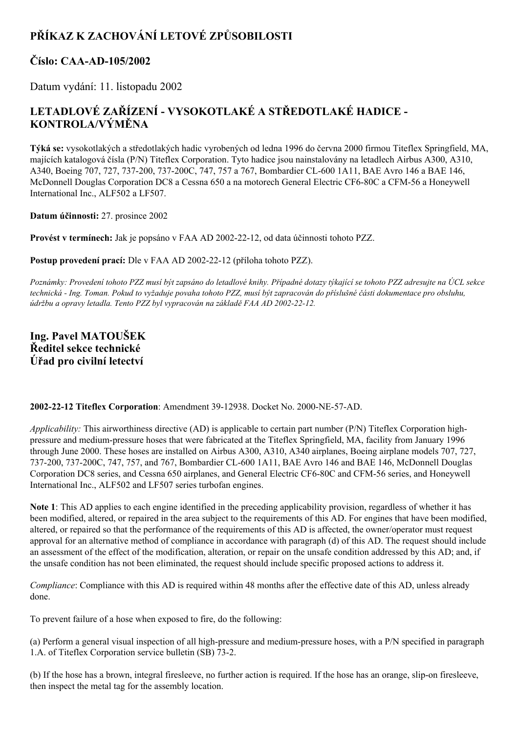# **PŘÍKAZ K ZACHOVÁNÍ LETOVÉ ZPŮSOBILOSTI**

# **Číslo: CAAAD105/2002**

Datum vydání: 11. listopadu 2002

# **LETADLOVÉ ZAŘÍZENÍ VYSOKOTLAKÉ A STŘEDOTLAKÉ HADICE KONTROLA/VÝMĚNA**

**Týká se:** vysokotlakých a středotlakých hadic vyrobených od ledna 1996 do června 2000 firmou Titeflex Springfield, MA, majících katalogová čísla (P/N) Titeflex Corporation. Tyto hadice jsou nainstalovány na letadlech Airbus A300, A310, A340, Boeing 707, 727, 737-200, 737-200C, 747, 757 a 767, Bombardier CL-600 1A11, BAE Avro 146 a BAE 146, McDonnell Douglas Corporation DC8 a Cessna 650 a na motorech General Electric CF6-80C a CFM-56 a Honeywell International Inc., ALF502 a LF507.

**Datum účinnosti:** 27. prosince 2002

**Provést v termínech:** Jak je popsáno v FAA AD 20022212, od data účinnosti tohoto PZZ.

**Postup provedení prací:** Dle v FAA AD 2002-22-12 (příloha tohoto PZZ).

Poznámky: Provedení tohoto PZZ musí být zapsáno do letadlové knihy. Případné dotazy týkající se tohoto PZZ adresujte na ÚCL sekce technická - Ing. Toman. Pokud to vyžaduje povaha tohoto PZZ, musí být zapracován do příslušné části dokumentace pro obsluhu, *údržbu a opravy letadla. Tento PZZ byl vypracován na základě FAA AD 20022212.*

**Ing. Pavel MATOUŠEK Ředitel sekce technické Úřad pro civilní letectví**

**2002-22-12 Titeflex Corporation: Amendment 39-12938. Docket No. 2000-NE-57-AD.** 

*Applicability:* This airworthiness directive (AD) is applicable to certain part number (P/N) Titeflex Corporation highpressure and mediumpressure hoses that were fabricated at the Titeflex Springfield, MA, facility from January 1996 through June 2000. These hoses are installed on Airbus A300, A310, A340 airplanes, Boeing airplane models 707, 727, 737-200, 737-200C, 747, 757, and 767, Bombardier CL-600 1A11, BAE Avro 146 and BAE 146, McDonnell Douglas Corporation DC8 series, and Cessna 650 airplanes, and General Electric CF6-80C and CFM-56 series, and Honeywell International Inc., ALF502 and LF507 series turbofan engines.

**Note 1**: This AD applies to each engine identified in the preceding applicability provision, regardless of whether it has been modified, altered, or repaired in the area subject to the requirements of this AD. For engines that have been modified, altered, or repaired so that the performance of the requirements of this AD is affected, the owner/operator must request approval for an alternative method of compliance in accordance with paragraph (d) of this AD. The request should include an assessment of the effect of the modification, alteration, or repair on the unsafe condition addressed by this AD; and, if the unsafe condition has not been eliminated, the request should include specific proposed actions to address it.

*Compliance*: Compliance with this AD is required within 48 months after the effective date of this AD, unless already done.

To prevent failure of a hose when exposed to fire, do the following:

(a) Perform a general visual inspection of all high-pressure and medium-pressure hoses, with a  $P/N$  specified in paragraph 1.A. of Titeflex Corporation service bulletin (SB) 73-2.

(b) If the hose has a brown, integral firesleeve, no further action is required. If the hose has an orange, slipon firesleeve, then inspect the metal tag for the assembly location.